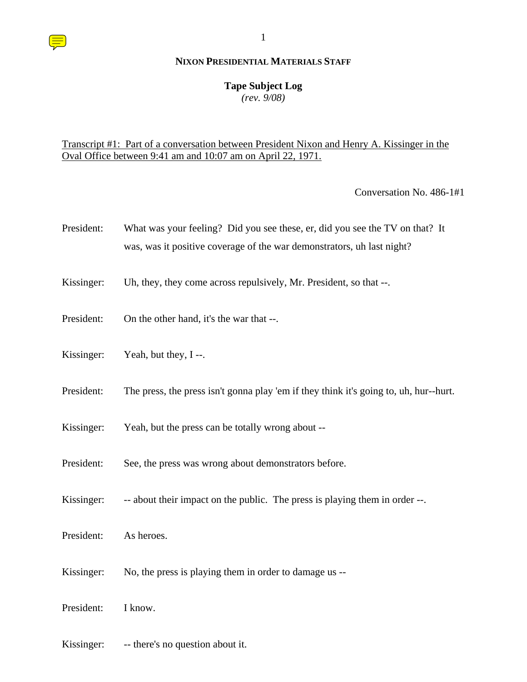#### **Tape Subject Log**

*(rev. 9/08)*

## Transcript #1: Part of a conversation between President Nixon and Henry A. Kissinger in the Oval Office between 9:41 am and 10:07 am on April 22, 1971.

Conversation No. 486-1#1

- President: What was your feeling? Did you see these, er, did you see the TV on that? It was, was it positive coverage of the war demonstrators, uh last night?
- Kissinger: Uh, they, they come across repulsively, Mr. President, so that --.
- President: On the other hand, it's the war that --.
- Kissinger: Yeah, but they, I --.
- President: The press, the press isn't gonna play 'em if they think it's going to, uh, hur--hurt.
- Kissinger: Yeah, but the press can be totally wrong about --
- President: See, the press was wrong about demonstrators before.
- Kissinger: -- about their impact on the public. The press is playing them in order --.
- President: As heroes.
- Kissinger: No, the press is playing them in order to damage us --
- President: I know.
- Kissinger: -- there's no question about it.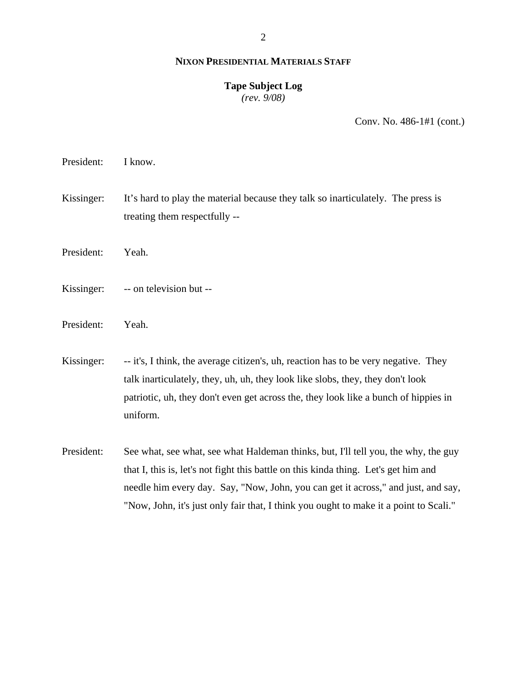#### **Tape Subject Log** *(rev. 9/08)*

Conv. No. 486-1#1 (cont.)

President: I know.

Kissinger: It's hard to play the material because they talk so inarticulately. The press is treating them respectfully --

President: Yeah.

Kissinger: -- on television but --

President: Yeah.

Kissinger: -- it's, I think, the average citizen's, uh, reaction has to be very negative. They talk inarticulately, they, uh, uh, they look like slobs, they, they don't look patriotic, uh, they don't even get across the, they look like a bunch of hippies in uniform.

President: See what, see what, see what Haldeman thinks, but, I'll tell you, the why, the guy that I, this is, let's not fight this battle on this kinda thing. Let's get him and needle him every day. Say, "Now, John, you can get it across," and just, and say, "Now, John, it's just only fair that, I think you ought to make it a point to Scali."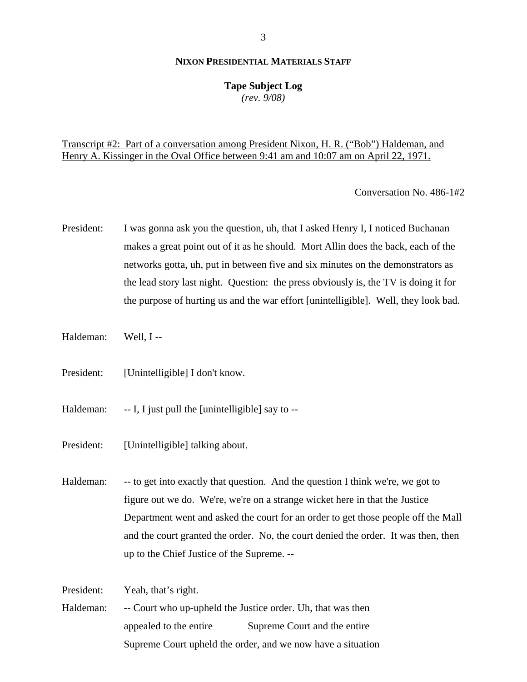#### **Tape Subject Log**

*(rev. 9/08)*

Transcript #2: Part of a conversation among President Nixon, H. R. ("Bob") Haldeman, and Henry A. Kissinger in the Oval Office between 9:41 am and 10:07 am on April 22, 1971.

Conversation No. 486-1#2

- President: I was gonna ask you the question, uh, that I asked Henry I, I noticed Buchanan makes a great point out of it as he should. Mort Allin does the back, each of the networks gotta, uh, put in between five and six minutes on the demonstrators as the lead story last night. Question: the press obviously is, the TV is doing it for the purpose of hurting us and the war effort [unintelligible]. Well, they look bad.
- Haldeman: Well, I --

President: [Unintelligible] I don't know.

- Haldeman: -- I, I just pull the [unintelligible] say to --
- President: [Unintelligible] talking about.

Haldeman: -- to get into exactly that question. And the question I think we're, we got to figure out we do. We're, we're on a strange wicket here in that the Justice Department went and asked the court for an order to get those people off the Mall and the court granted the order. No, the court denied the order. It was then, then up to the Chief Justice of the Supreme. --

President: Yeah, that's right. Haldeman: -- Court who up-upheld the Justice order. Uh, that was then appealed to the entire Supreme Court and the entire Supreme Court upheld the order, and we now have a situation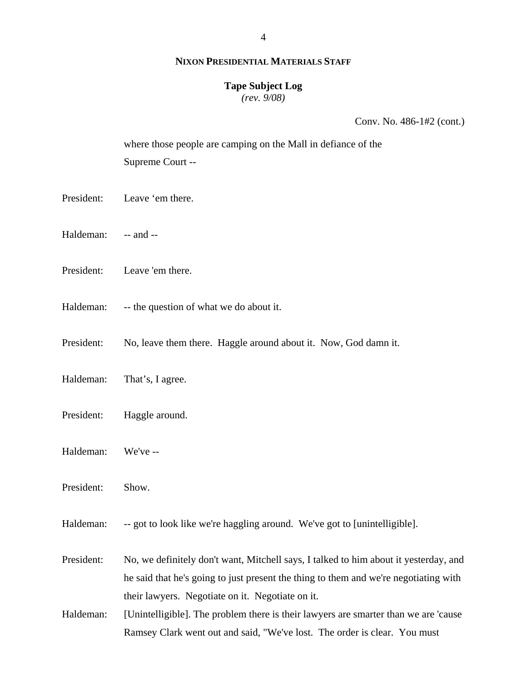#### **Tape Subject Log**

*(rev. 9/08)*

Conv. No. 486-1#2 (cont.)

| where those people are camping on the Mall in defiance of the |
|---------------------------------------------------------------|
| Supreme Court --                                              |

- President: Leave 'em there.
- Haldeman: -- and --
- President: Leave 'em there.
- Haldeman: -- the question of what we do about it.
- President: No, leave them there. Haggle around about it. Now, God damn it.
- Haldeman: That's, I agree.
- President: Haggle around.
- Haldeman: We've --
- President: Show.
- Haldeman: -- got to look like we're haggling around. We've got to [unintelligible].

President: No, we definitely don't want, Mitchell says, I talked to him about it yesterday, and he said that he's going to just present the thing to them and we're negotiating with their lawyers. Negotiate on it. Negotiate on it.

Haldeman: [Unintelligible]. The problem there is their lawyers are smarter than we are 'cause Ramsey Clark went out and said, "We've lost. The order is clear. You must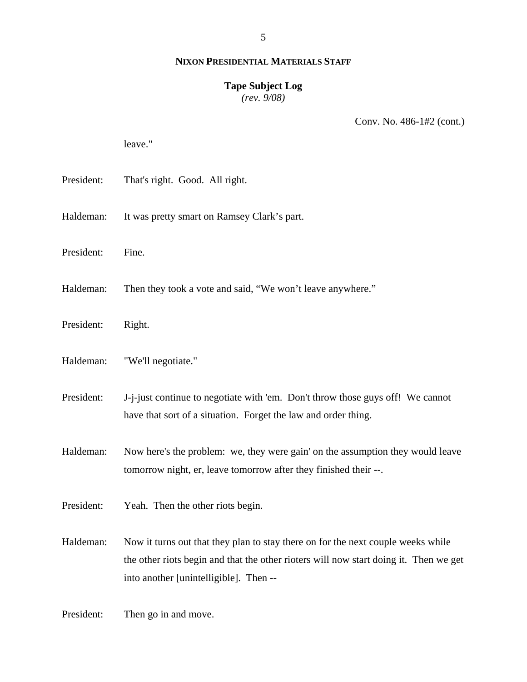# **Tape Subject Log**

*(rev. 9/08)*

Conv. No. 486-1#2 (cont.)

leave."

- President: That's right. Good. All right.
- Haldeman: It was pretty smart on Ramsey Clark's part.
- President: Fine.
- Haldeman: Then they took a vote and said, "We won't leave anywhere."
- President: Right.
- Haldeman: "We'll negotiate."
- President: J-j-just continue to negotiate with 'em. Don't throw those guys off! We cannot have that sort of a situation. Forget the law and order thing.
- Haldeman: Now here's the problem: we, they were gain' on the assumption they would leave tomorrow night, er, leave tomorrow after they finished their --.
- President: Yeah. Then the other riots begin.
- Haldeman: Now it turns out that they plan to stay there on for the next couple weeks while the other riots begin and that the other rioters will now start doing it. Then we get into another [unintelligible]. Then --
- President: Then go in and move.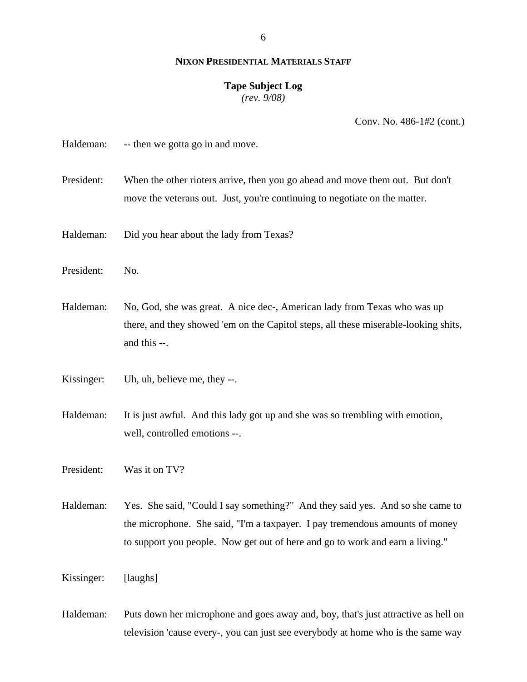#### **Tape Subject Log**

*(rev. 9/08)*

Conv. No. 486-1#2 (cont.)

| Haldeman: | -- then we gotta go in and move. |  |
|-----------|----------------------------------|--|
|-----------|----------------------------------|--|

President: When the other rioters arrive, then you go ahead and move them out. But don't move the veterans out. Just, you're continuing to negotiate on the matter.

Haldeman: Did you hear about the lady from Texas?

President: No.

Haldeman: No, God, she was great. A nice dec-, American lady from Texas who was up there, and they showed 'em on the Capitol steps, all these miserable-looking shits, and this --.

Kissinger: Uh, uh, believe me, they --.

Haldeman: It is just awful. And this lady got up and she was so trembling with emotion, well, controlled emotions --.

President: Was it on TV?

Haldeman: Yes. She said, "Could I say something?" And they said yes. And so she came to the microphone. She said, "I'm a taxpayer. I pay tremendous amounts of money to support you people. Now get out of here and go to work and earn a living."

Kissinger: [laughs]

Haldeman: Puts down her microphone and goes away and, boy, that's just attractive as hell on television 'cause every-, you can just see everybody at home who is the same way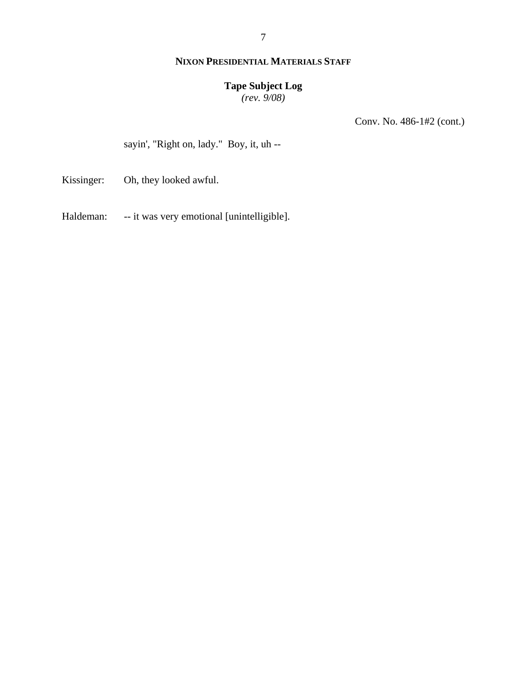7

## **NIXON PRESIDENTIAL MATERIALS STAFF**

## **Tape Subject Log**

*(rev. 9/08)*

Conv. No. 486-1#2 (cont.)

sayin', "Right on, lady." Boy, it, uh --

Kissinger: Oh, they looked awful.

Haldeman: -- it was very emotional [unintelligible].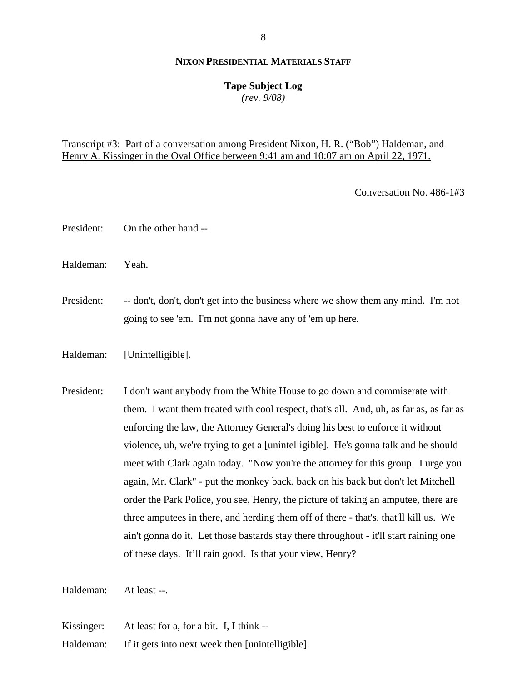#### **Tape Subject Log**

*(rev. 9/08)*

#### Transcript #3: Part of a conversation among President Nixon, H. R. ("Bob") Haldeman, and Henry A. Kissinger in the Oval Office between 9:41 am and 10:07 am on April 22, 1971.

Conversation No. 486-1#3

- President: On the other hand --
- Haldeman: Yeah.
- President: -- don't, don't, don't get into the business where we show them any mind. I'm not going to see 'em. I'm not gonna have any of 'em up here.
- Haldeman: [Unintelligible].
- President: I don't want anybody from the White House to go down and commiserate with them. I want them treated with cool respect, that's all. And, uh, as far as, as far as enforcing the law, the Attorney General's doing his best to enforce it without violence, uh, we're trying to get a [unintelligible]. He's gonna talk and he should meet with Clark again today. "Now you're the attorney for this group. I urge you again, Mr. Clark" - put the monkey back, back on his back but don't let Mitchell order the Park Police, you see, Henry, the picture of taking an amputee, there are three amputees in there, and herding them off of there - that's, that'll kill us. We ain't gonna do it. Let those bastards stay there throughout - it'll start raining one of these days. It'll rain good. Is that your view, Henry?
- Haldeman: At least --.
- Kissinger: At least for a, for a bit. I, I think --

Haldeman: If it gets into next week then [unintelligible].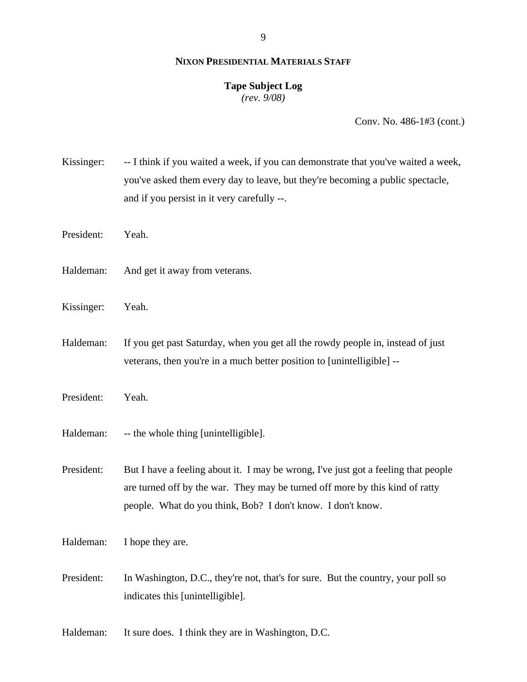# **Tape Subject Log**

*(rev. 9/08)*

Conv. No. 486-1#3 (cont.)

Kissinger: -- I think if you waited a week, if you can demonstrate that you've waited a week, you've asked them every day to leave, but they're becoming a public spectacle, and if you persist in it very carefully --.

- President: Yeah.
- Haldeman: And get it away from veterans.
- Kissinger: Yeah.

Haldeman: If you get past Saturday, when you get all the rowdy people in, instead of just veterans, then you're in a much better position to [unintelligible] --

- President: Yeah.
- Haldeman: -- the whole thing [unintelligible].

President: But I have a feeling about it. I may be wrong, I've just got a feeling that people are turned off by the war. They may be turned off more by this kind of ratty people. What do you think, Bob? I don't know. I don't know.

Haldeman: I hope they are.

President: In Washington, D.C., they're not, that's for sure. But the country, your poll so indicates this [unintelligible].

Haldeman: It sure does. I think they are in Washington, D.C.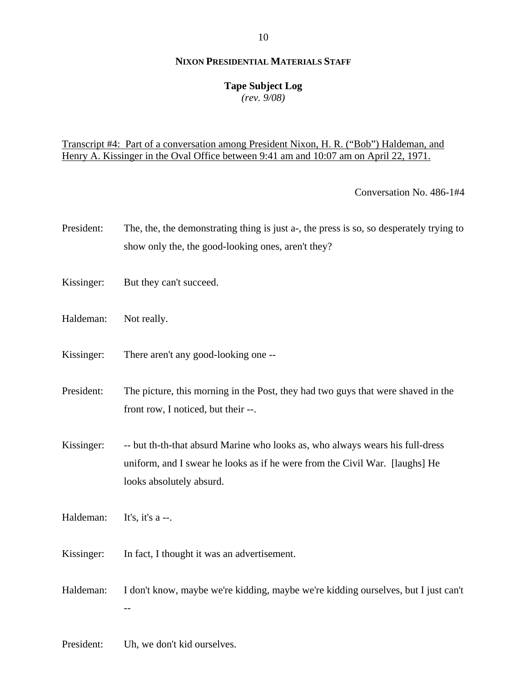#### **Tape Subject Log**

*(rev. 9/08)*

## Transcript #4: Part of a conversation among President Nixon, H. R. ("Bob") Haldeman, and Henry A. Kissinger in the Oval Office between 9:41 am and 10:07 am on April 22, 1971.

Conversation No. 486-1#4

- President: The, the, the demonstrating thing is just a-, the press is so, so desperately trying to show only the, the good-looking ones, aren't they?
- Kissinger: But they can't succeed.
- Haldeman: Not really.
- Kissinger: There aren't any good-looking one --
- President: The picture, this morning in the Post, they had two guys that were shaved in the front row, I noticed, but their --.
- Kissinger: -- but th-th-that absurd Marine who looks as, who always wears his full-dress uniform, and I swear he looks as if he were from the Civil War. [laughs] He looks absolutely absurd.
- Haldeman: It's, it's a --.
- Kissinger: In fact, I thought it was an advertisement.
- Haldeman: I don't know, maybe we're kidding, maybe we're kidding ourselves, but I just can't --
- President: Uh, we don't kid ourselves.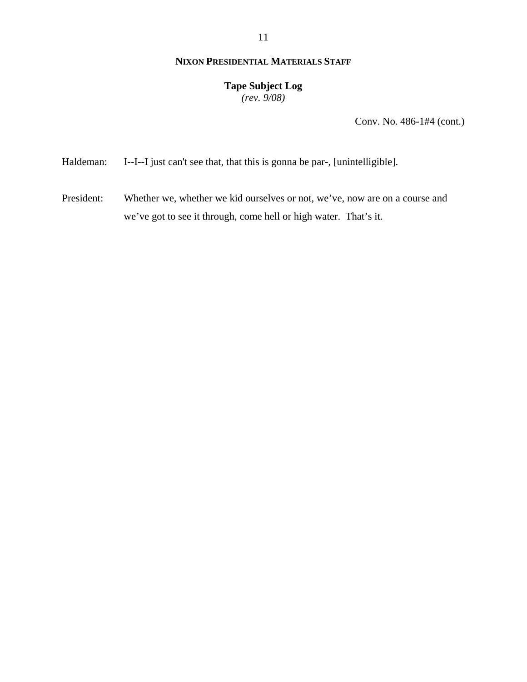## **Tape Subject Log**

*(rev. 9/08)*

Conv. No. 486-1#4 (cont.)

Haldeman: I--I--I just can't see that, that this is gonna be par-, [unintelligible].

President: Whether we, whether we kid ourselves or not, we've, now are on a course and we've got to see it through, come hell or high water. That's it.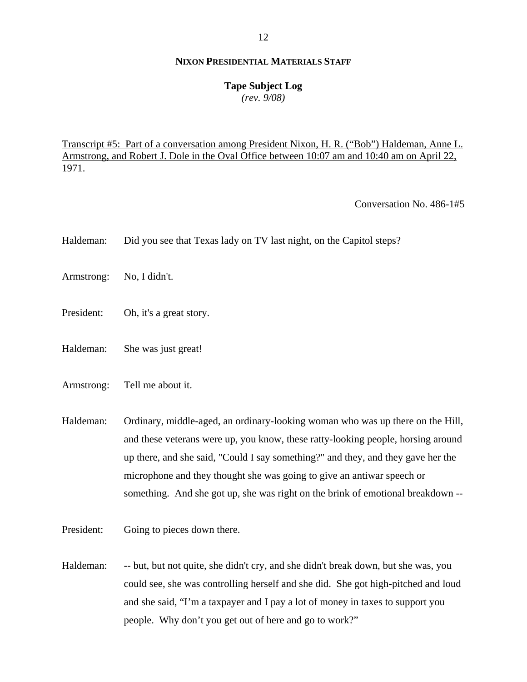#### **Tape Subject Log**

*(rev. 9/08)*

Transcript #5: Part of a conversation among President Nixon, H. R. ("Bob") Haldeman, Anne L. Armstrong, and Robert J. Dole in the Oval Office between 10:07 am and 10:40 am on April 22, 1971.

Conversation No. 486-1#5

- Haldeman: Did you see that Texas lady on TV last night, on the Capitol steps?
- Armstrong: No, I didn't.
- President: Oh, it's a great story.
- Haldeman: She was just great!
- Armstrong: Tell me about it.
- Haldeman: Ordinary, middle-aged, an ordinary-looking woman who was up there on the Hill, and these veterans were up, you know, these ratty-looking people, horsing around up there, and she said, "Could I say something?" and they, and they gave her the microphone and they thought she was going to give an antiwar speech or something. And she got up, she was right on the brink of emotional breakdown --
- President: Going to pieces down there.
- Haldeman: -- but, but not quite, she didn't cry, and she didn't break down, but she was, you could see, she was controlling herself and she did. She got high-pitched and loud and she said, "I'm a taxpayer and I pay a lot of money in taxes to support you people. Why don't you get out of here and go to work?"